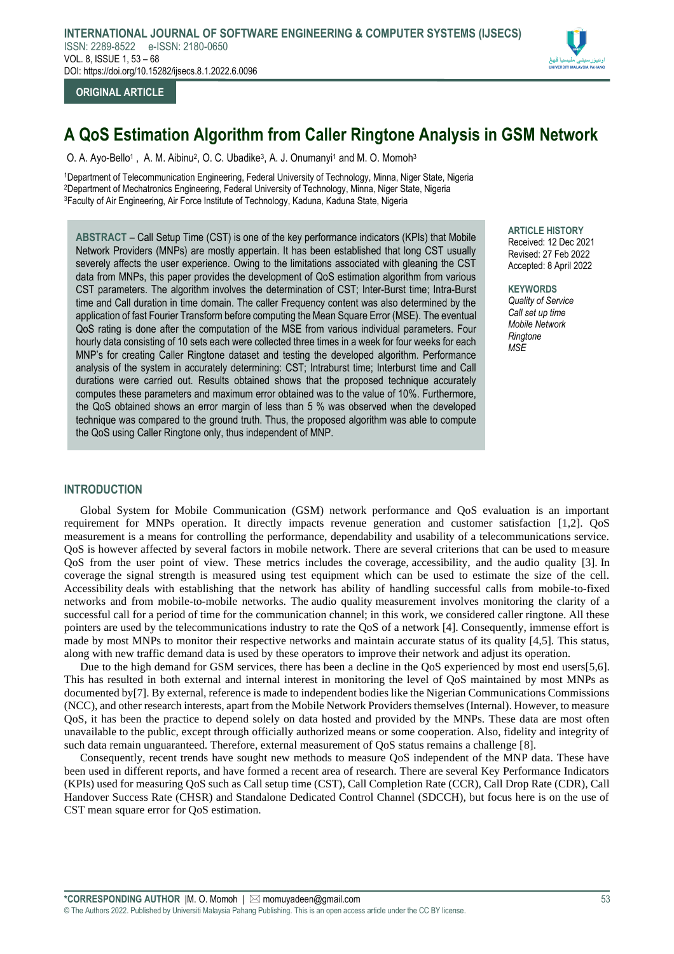

# **ORIGINAL ARTICLE**

# **A QoS Estimation Algorithm from Caller Ringtone Analysis in GSM Network**

O. A. Ayo-Bello<sup>1</sup>, A. M. Aibinu<sup>2</sup>, O. C. Ubadike<sup>3</sup>, A. J. Onumanyi<sup>1</sup> and M. O. Momoh<sup>3</sup>

<sup>1</sup>Department of Telecommunication Engineering, Federal University of Technology, Minna, Niger State, Nigeria <sup>2</sup>Department of Mechatronics Engineering, Federal University of Technology, Minna, Niger State, Nigeria <sup>3</sup>Faculty of Air Engineering, Air Force Institute of Technology, Kaduna, Kaduna State, Nigeria

**ABSTRACT** – Call Setup Time (CST) is one of the key performance indicators (KPIs) that Mobile Network Providers (MNPs) are mostly appertain. It has been established that long CST usually severely affects the user experience. Owing to the limitations associated with gleaning the CST data from MNPs, this paper provides the development of QoS estimation algorithm from various CST parameters. The algorithm involves the determination of CST; Inter-Burst time; Intra-Burst time and Call duration in time domain. The caller Frequency content was also determined by the application of fast Fourier Transform before computing the Mean Square Error (MSE). The eventual QoS rating is done after the computation of the MSE from various individual parameters. Four hourly data consisting of 10 sets each were collected three times in a week for four weeks for each MNP's for creating Caller Ringtone dataset and testing the developed algorithm. Performance analysis of the system in accurately determining: CST; Intraburst time; Interburst time and Call durations were carried out. Results obtained shows that the proposed technique accurately computes these parameters and maximum error obtained was to the value of 10%. Furthermore, the QoS obtained shows an error margin of less than 5 % was observed when the developed technique was compared to the ground truth. Thus, the proposed algorithm was able to compute the QoS using Caller Ringtone only, thus independent of MNP.

## **ARTICLE HISTORY**

Received: 12 Dec 2021 Revised: 27 Feb 2022 Accepted: 8 April 2022

**KEYWORDS** *Quality of Service Call set up time Mobile Network*

*Ringtone MSE*

# **INTRODUCTION**

Global System for Mobile Communication (GSM) network performance and QoS evaluation is an important requirement for MNPs operation. It directly impacts revenue generation and customer satisfaction [1,2]. QoS measurement is a means for controlling the performance, dependability and usability of a telecommunications service. QoS is however affected by several factors in mobile network. There are several criterions that can be used to measure QoS from the user point of view. These metrics includes the coverage, accessibility, and the audio quality [3]. In coverage the signal strength is measured using test equipment which can be used to estimate the size of the cell. Accessibility deals with establishing that the network has ability of handling successful calls from mobile-to-fixed networks and from mobile-to-mobile networks. The audio quality measurement involves monitoring the clarity of a successful call for a period of time for the communication channel; in this work, we considered caller ringtone. All these pointers are used by the telecommunications industry to rate the QoS of a network [4]. Consequently, immense effort is made by most MNPs to monitor their respective networks and maintain accurate status of its quality [4,5]. This status, along with new traffic demand data is used by these operators to improve their network and adjust its operation.

Due to the high demand for GSM services, there has been a decline in the QoS experienced by most end users[5,6]. This has resulted in both external and internal interest in monitoring the level of QoS maintained by most MNPs as documented by[7]. By external, reference is made to independent bodies like the Nigerian Communications Commissions (NCC), and other research interests, apart from the Mobile Network Providers themselves (Internal). However, to measure QoS, it has been the practice to depend solely on data hosted and provided by the MNPs. These data are most often unavailable to the public, except through officially authorized means or some cooperation. Also, fidelity and integrity of such data remain unguaranteed. Therefore, external measurement of QoS status remains a challenge [8].

Consequently, recent trends have sought new methods to measure QoS independent of the MNP data. These have been used in different reports, and have formed a recent area of research. There are several Key Performance Indicators (KPIs) used for measuring QoS such as Call setup time (CST), Call Completion Rate (CCR), Call Drop Rate (CDR), Call Handover Success Rate (CHSR) and Standalone Dedicated Control Channel (SDCCH), but focus here is on the use of CST mean square error for QoS estimation.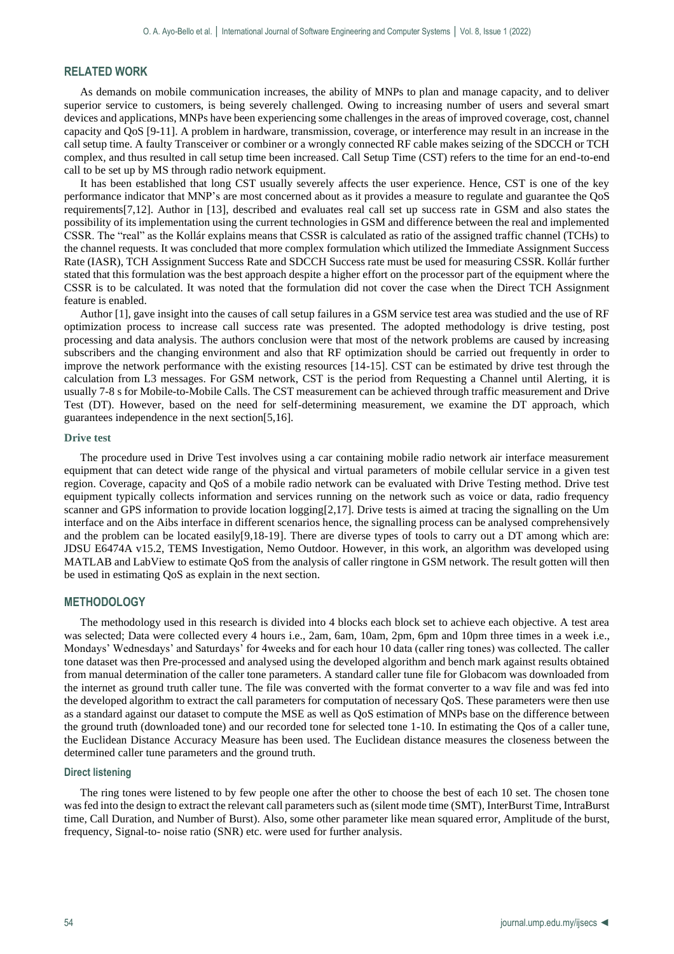# **RELATED WORK**

As demands on mobile communication increases, the ability of MNPs to plan and manage capacity, and to deliver superior service to customers, is being severely challenged. Owing to increasing number of users and several smart devices and applications, MNPs have been experiencing some challenges in the areas of improved coverage, cost, channel capacity and QoS [9-11]. A problem in hardware, transmission, coverage, or interference may result in an increase in the call setup time. A faulty Transceiver or combiner or a wrongly connected RF cable makes seizing of the SDCCH or TCH complex, and thus resulted in call setup time been increased. Call Setup Time (CST) refers to the time for an end-to-end call to be set up by MS through radio network equipment.

It has been established that long CST usually severely affects the user experience. Hence, CST is one of the key performance indicator that MNP's are most concerned about as it provides a measure to regulate and guarantee the QoS requirements[7,12]. Author in [13], described and evaluates real call set up success rate in GSM and also states the possibility of its implementation using the current technologies in GSM and difference between the real and implemented CSSR. The "real" as the Kollár explains means that CSSR is calculated as ratio of the assigned traffic channel (TCHs) to the channel requests. It was concluded that more complex formulation which utilized the Immediate Assignment Success Rate (IASR), TCH Assignment Success Rate and SDCCH Success rate must be used for measuring CSSR. Kollár further stated that this formulation was the best approach despite a higher effort on the processor part of the equipment where the CSSR is to be calculated. It was noted that the formulation did not cover the case when the Direct TCH Assignment feature is enabled.

Author [1], gave insight into the causes of call setup failures in a GSM service test area was studied and the use of RF optimization process to increase call success rate was presented. The adopted methodology is drive testing, post processing and data analysis. The authors conclusion were that most of the network problems are caused by increasing subscribers and the changing environment and also that RF optimization should be carried out frequently in order to improve the network performance with the existing resources [14-15]. CST can be estimated by drive test through the calculation from L3 messages. For GSM network, CST is the period from Requesting a Channel until Alerting, it is usually 7-8 s for Mobile-to-Mobile Calls. The CST measurement can be achieved through traffic measurement and Drive Test (DT). However, based on the need for self-determining measurement, we examine the DT approach, which guarantees independence in the next section[5,16].

#### **Drive test**

The procedure used in Drive Test involves using a car containing mobile radio network air interface measurement equipment that can detect wide range of the physical and virtual parameters of mobile cellular service in a given test region. Coverage, capacity and QoS of a mobile radio network can be evaluated with Drive Testing method. Drive test equipment typically collects information and services running on the network such as voice or data, radio frequency scanner and GPS information to provide location logging[2,17]. Drive tests is aimed at tracing the signalling on the Um interface and on the Aibs interface in different scenarios hence, the signalling process can be analysed comprehensively and the problem can be located easily[9,18-19]. There are diverse types of tools to carry out a DT among which are: JDSU E6474A v15.2, TEMS Investigation, Nemo Outdoor. However, in this work, an algorithm was developed using MATLAB and LabView to estimate QoS from the analysis of caller ringtone in GSM network. The result gotten will then be used in estimating QoS as explain in the next section.

## **METHODOLOGY**

The methodology used in this research is divided into 4 blocks each block set to achieve each objective. A test area was selected; Data were collected every 4 hours i.e., 2am, 6am, 10am, 2pm, 6pm and 10pm three times in a week i.e., Mondays' Wednesdays' and Saturdays' for 4weeks and for each hour 10 data (caller ring tones) was collected. The caller tone dataset was then Pre-processed and analysed using the developed algorithm and bench mark against results obtained from manual determination of the caller tone parameters. A standard caller tune file for Globacom was downloaded from the internet as ground truth caller tune. The file was converted with the format converter to a wav file and was fed into the developed algorithm to extract the call parameters for computation of necessary QoS. These parameters were then use as a standard against our dataset to compute the MSE as well as QoS estimation of MNPs base on the difference between the ground truth (downloaded tone) and our recorded tone for selected tone 1-10. In estimating the Qos of a caller tune, the Euclidean Distance Accuracy Measure has been used. The Euclidean distance measures the closeness between the determined caller tune parameters and the ground truth.

#### **Direct listening**

The ring tones were listened to by few people one after the other to choose the best of each 10 set. The chosen tone was fed into the design to extract the relevant call parameters such as (silent mode time (SMT), InterBurst Time, IntraBurst time, Call Duration, and Number of Burst). Also, some other parameter like mean squared error, Amplitude of the burst, frequency, Signal-to- noise ratio (SNR) etc. were used for further analysis.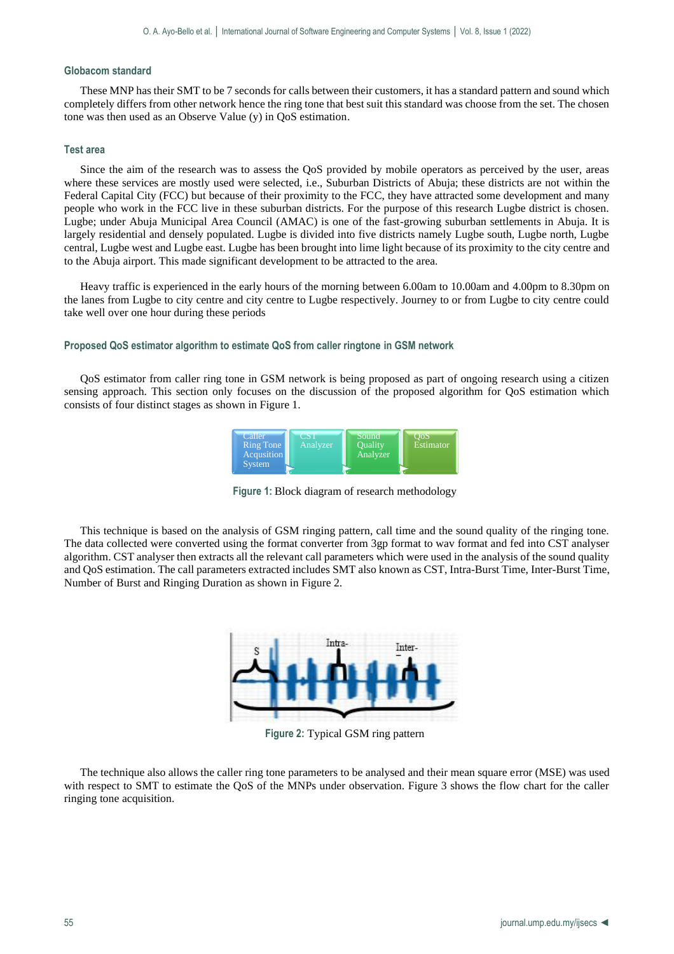#### **Globacom standard**

These MNP has their SMT to be 7 seconds for calls between their customers, it has a standard pattern and sound which completely differs from other network hence the ring tone that best suit this standard was choose from the set. The chosen tone was then used as an Observe Value (y) in QoS estimation.

#### **Test area**

Since the aim of the research was to assess the QoS provided by mobile operators as perceived by the user, areas where these services are mostly used were selected, i.e., Suburban Districts of Abuja; these districts are not within the Federal Capital City (FCC) but because of their proximity to the FCC, they have attracted some development and many people who work in the FCC live in these suburban districts. For the purpose of this research Lugbe district is chosen. Lugbe; under Abuja Municipal Area Council (AMAC) is one of the fast-growing suburban settlements in Abuja. It is largely residential and densely populated. Lugbe is divided into five districts namely Lugbe south, Lugbe north, Lugbe central, Lugbe west and Lugbe east. Lugbe has been brought into lime light because of its proximity to the city centre and to the Abuja airport. This made significant development to be attracted to the area.

Heavy traffic is experienced in the early hours of the morning between 6.00am to 10.00am and 4.00pm to 8.30pm on the lanes from Lugbe to city centre and city centre to Lugbe respectively. Journey to or from Lugbe to city centre could take well over one hour during these periods

#### **Proposed QoS estimator algorithm to estimate QoS from caller ringtone in GSM network**

QoS estimator from caller ring tone in GSM network is being proposed as part of ongoing research using a citizen sensing approach. This section only focuses on the discussion of the proposed algorithm for QoS estimation which consists of four distinct stages as shown in Figure 1.

| Caller<br>Ring Tone<br><b>Acqusition</b> | CST<br>Analyzer | <b>Sound</b><br><b>Ouality</b><br>Analyzer | OoS<br>Estimator |
|------------------------------------------|-----------------|--------------------------------------------|------------------|
| <b>System</b>                            |                 |                                            |                  |

**Figure 1:** Block diagram of research methodology

This technique is based on the analysis of GSM ringing pattern, call time and the sound quality of the ringing tone. The data collected were converted using the format converter from 3gp format to wav format and fed into CST analyser algorithm. CST analyser then extracts all the relevant call parameters which were used in the analysis of the sound quality and QoS estimation. The call parameters extracted includes SMT also known as CST, Intra-Burst Time, Inter-Burst Time, Number of Burst and Ringing Duration as shown in Figure 2.



**Figure 2:** Typical GSM ring pattern

The technique also allows the caller ring tone parameters to be analysed and their mean square error (MSE) was used with respect to SMT to estimate the QoS of the MNPs under observation. Figure 3 shows the flow chart for the caller ringing tone acquisition.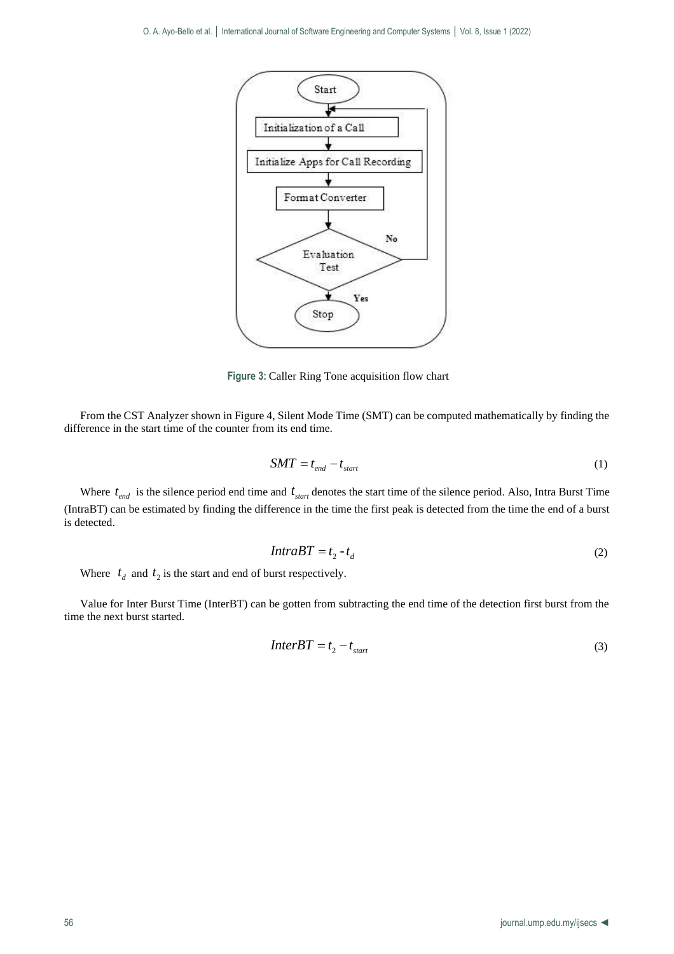

**Figure 3:** Caller Ring Tone acquisition flow chart

From the CST Analyzer shown in Figure 4, Silent Mode Time (SMT) can be computed mathematically by finding the difference in the start time of the counter from its end time.

$$
SMT = t_{end} - t_{start} \tag{1}
$$

Where  $t_{end}$  is the silence period end time and  $t_{start}$  denotes the start time of the silence period. Also, Intra Burst Time (IntraBT) can be estimated by finding the difference in the time the first peak is detected from the time the end of a burst is detected.

$$
IntraBT = t_2 - t_d \tag{2}
$$

Where  $t_d$  and  $t_2$  is the start and end of burst respectively.

Value for Inter Burst Time (InterBT) can be gotten from subtracting the end time of the detection first burst from the time the next burst started.

$$
InterBT = t_2 - t_{start}
$$
 (3)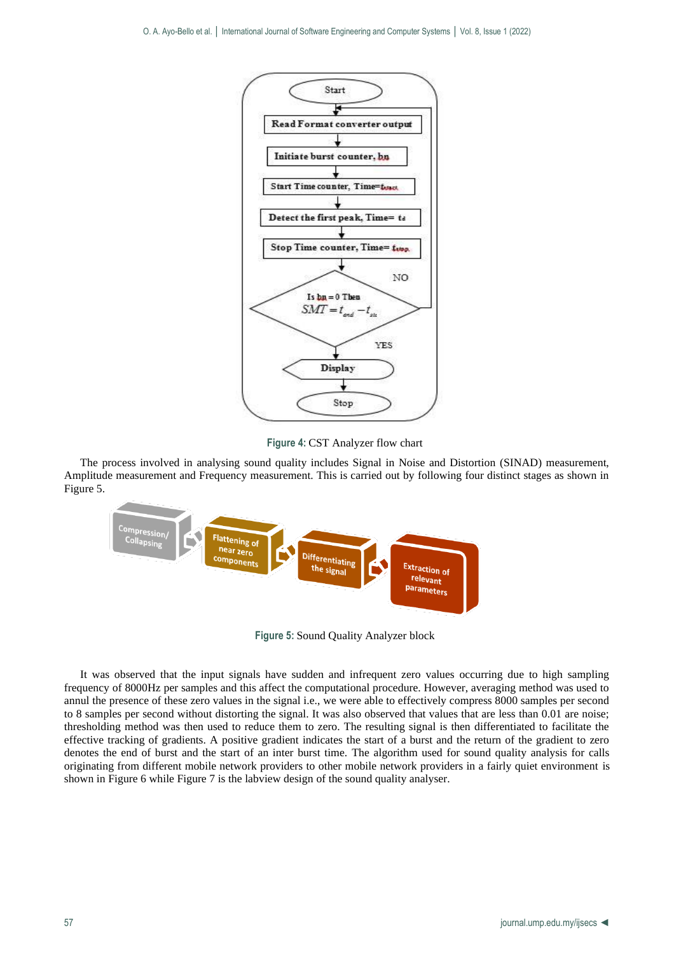

**Figure 4:** CST Analyzer flow chart

The process involved in analysing sound quality includes Signal in Noise and Distortion (SINAD) measurement, Amplitude measurement and Frequency measurement. This is carried out by following four distinct stages as shown in Figure 5.



**Figure 5:** Sound Quality Analyzer block

It was observed that the input signals have sudden and infrequent zero values occurring due to high sampling frequency of 8000Hz per samples and this affect the computational procedure. However, averaging method was used to annul the presence of these zero values in the signal i.e., we were able to effectively compress 8000 samples per second to 8 samples per second without distorting the signal. It was also observed that values that are less than 0.01 are noise; thresholding method was then used to reduce them to zero. The resulting signal is then differentiated to facilitate the effective tracking of gradients. A positive gradient indicates the start of a burst and the return of the gradient to zero denotes the end of burst and the start of an inter burst time. The algorithm used for sound quality analysis for calls originating from different mobile network providers to other mobile network providers in a fairly quiet environment is shown in Figure 6 while Figure 7 is the labview design of the sound quality analyser.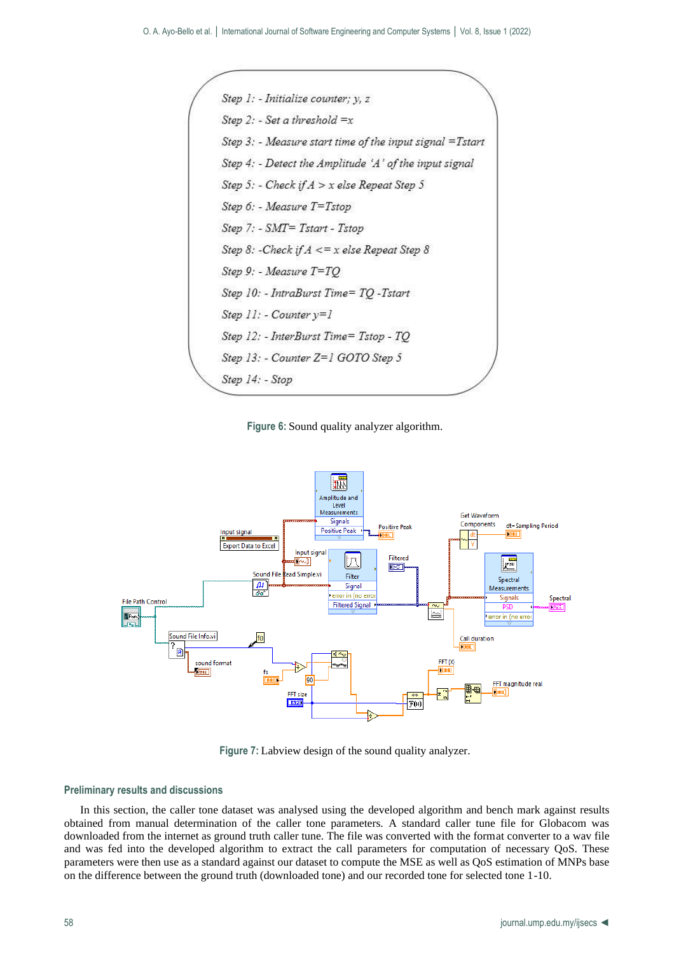

**Figure 6:** Sound quality analyzer algorithm.



**Figure 7:** Labview design of the sound quality analyzer.

#### **Preliminary results and discussions**

In this section, the caller tone dataset was analysed using the developed algorithm and bench mark against results obtained from manual determination of the caller tone parameters. A standard caller tune file for Globacom was downloaded from the internet as ground truth caller tune. The file was converted with the format converter to a wav file and was fed into the developed algorithm to extract the call parameters for computation of necessary QoS. These parameters were then use as a standard against our dataset to compute the MSE as well as QoS estimation of MNPs base on the difference between the ground truth (downloaded tone) and our recorded tone for selected tone 1-10.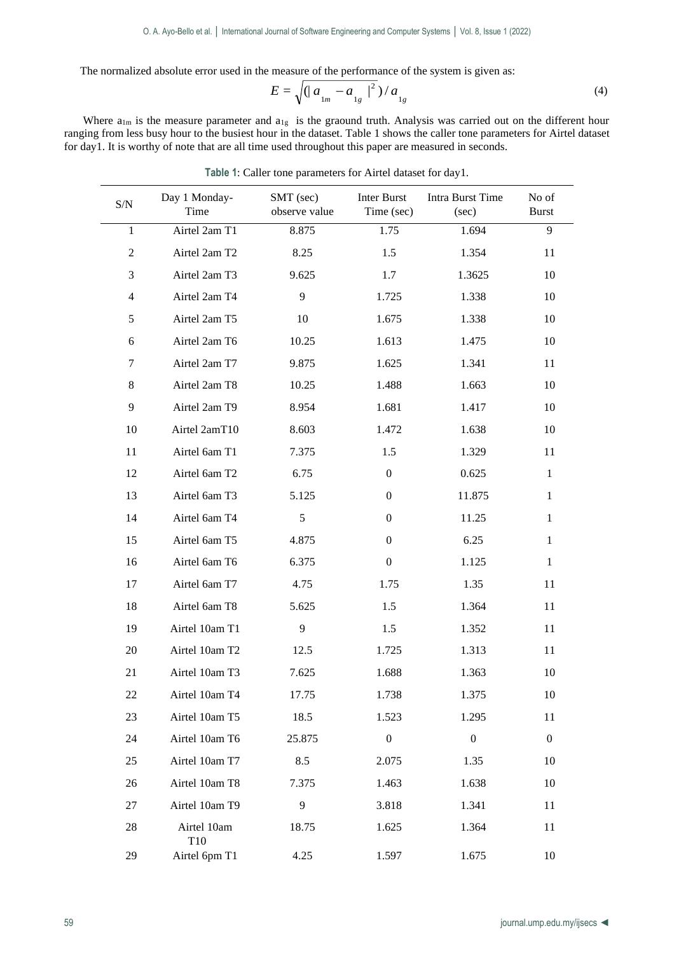The normalized absolute error used in the measure of the performance of the system is given as:

$$
E = \sqrt{(|a_{1m} - a_{1g}|^2)/a_{1g}}
$$
 (4)

Where  $a_{1m}$  is the measure parameter and  $a_{1g}$  is the graound truth. Analysis was carried out on the different hour ranging from less busy hour to the busiest hour in the dataset. Table 1 shows the caller tone parameters for Airtel dataset for day1. It is worthy of note that are all time used throughout this paper are measured in seconds.

| $\ensuremath{\mathrm{S/N}}$ | Day 1 Monday-<br>Time          | SMT (sec)<br>observe value | Inter Burst<br>Time (sec) | Intra Burst Time<br>(sec) | No of<br><b>Burst</b> |
|-----------------------------|--------------------------------|----------------------------|---------------------------|---------------------------|-----------------------|
| $\mathbf{1}$                | Airtel 2am T1                  | 8.875                      | 1.75                      | 1.694                     | 9                     |
| 2                           | Airtel 2am T2                  | 8.25                       | 1.5                       | 1.354                     | 11                    |
| 3                           | Airtel 2am T3                  | 9.625                      | 1.7                       | 1.3625                    | 10                    |
| 4                           | Airtel 2am T4                  | 9                          | 1.725                     | 1.338                     | 10                    |
| 5                           | Airtel 2am T5                  | 10                         | 1.675                     | 1.338                     | 10                    |
| 6                           | Airtel 2am T6                  | 10.25                      | 1.613                     | 1.475                     | 10                    |
| 7                           | Airtel 2am T7                  | 9.875                      | 1.625                     | 1.341                     | 11                    |
| 8                           | Airtel 2am T8                  | 10.25                      | 1.488                     | 1.663                     | 10                    |
| 9                           | Airtel 2am T9                  | 8.954                      | 1.681                     | 1.417                     | 10                    |
| 10                          | Airtel 2amT10                  | 8.603                      | 1.472                     | 1.638                     | 10                    |
| 11                          | Airtel 6am T1                  | 7.375                      | 1.5                       | 1.329                     | 11                    |
| 12                          | Airtel 6am T2                  | 6.75                       | $\overline{0}$            | 0.625                     | $\mathbf{1}$          |
| 13                          | Airtel 6am T3                  | 5.125                      | $\boldsymbol{0}$          | 11.875                    | $\mathbf{1}$          |
| 14                          | Airtel 6am T4                  | 5                          | $\mathbf{0}$              | 11.25                     | $\mathbf{1}$          |
| 15                          | Airtel 6am T5                  | 4.875                      | $\mathbf{0}$              | 6.25                      | $\mathbf{1}$          |
| 16                          | Airtel 6am T6                  | 6.375                      | $\boldsymbol{0}$          | 1.125                     | $\mathbf{1}$          |
| 17                          | Airtel 6am T7                  | 4.75                       | 1.75                      | 1.35                      | 11                    |
| 18                          | Airtel 6am T8                  | 5.625                      | 1.5                       | 1.364                     | 11                    |
| 19                          | Airtel 10am T1                 | 9                          | 1.5                       | 1.352                     | 11                    |
| 20                          | Airtel 10am T2                 | 12.5                       | 1.725                     | 1.313                     | 11                    |
| 21                          | Airtel 10am T3                 | 7.625                      | 1.688                     | 1.363                     | 10                    |
| 22                          | Airtel 10am T4                 | 17.75                      | 1.738                     | 1.375                     | 10                    |
| 23                          | Airtel 10am T5                 | 18.5                       | 1.523                     | 1.295                     | 11                    |
| 24                          | Airtel 10am T6                 | 25.875                     | $\boldsymbol{0}$          | $\boldsymbol{0}$          | $\boldsymbol{0}$      |
| 25                          | Airtel 10am T7                 | 8.5                        | 2.075                     | 1.35                      | 10                    |
| 26                          | Airtel 10am T8                 | 7.375                      | 1.463                     | 1.638                     | 10                    |
| 27                          | Airtel 10am T9                 | 9                          | 3.818                     | 1.341                     | 11                    |
| 28                          | Airtel 10am<br>T <sub>10</sub> | 18.75                      | 1.625                     | 1.364                     | 11                    |
| 29                          | Airtel 6pm T1                  | 4.25                       | 1.597                     | 1.675                     | 10                    |

**Table 1**: Caller tone parameters for Airtel dataset for day1.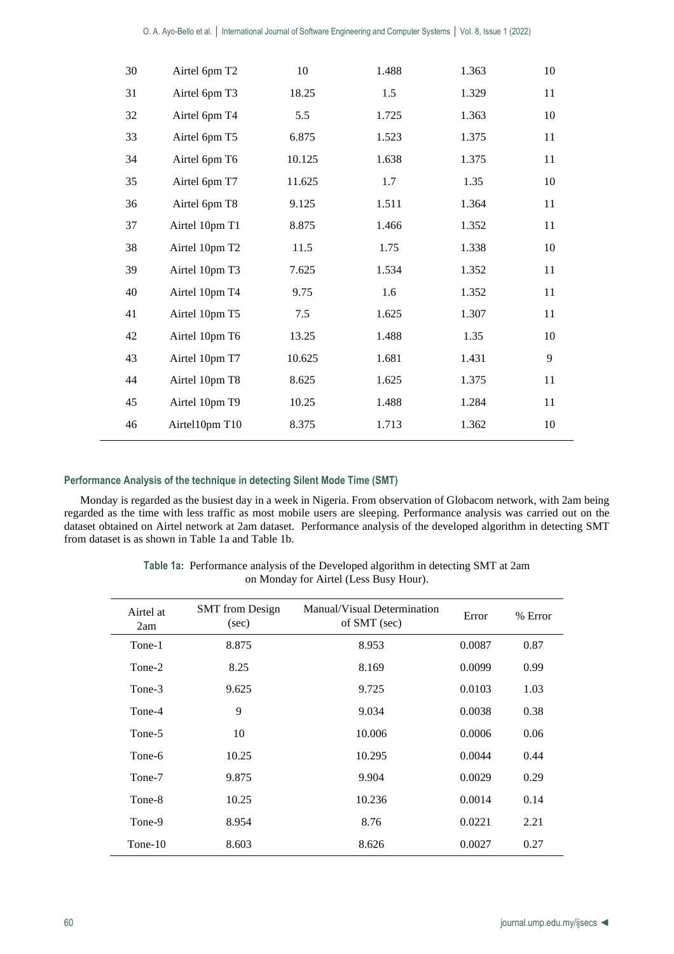| 30 | Airtel 6pm T2  | 10     | 1.488 | 1.363 | 10 |
|----|----------------|--------|-------|-------|----|
| 31 | Airtel 6pm T3  | 18.25  | 1.5   | 1.329 | 11 |
| 32 | Airtel 6pm T4  | 5.5    | 1.725 | 1.363 | 10 |
| 33 | Airtel 6pm T5  | 6.875  | 1.523 | 1.375 | 11 |
| 34 | Airtel 6pm T6  | 10.125 | 1.638 | 1.375 | 11 |
| 35 | Airtel 6pm T7  | 11.625 | 1.7   | 1.35  | 10 |
| 36 | Airtel 6pm T8  | 9.125  | 1.511 | 1.364 | 11 |
| 37 | Airtel 10pm T1 | 8.875  | 1.466 | 1.352 | 11 |
| 38 | Airtel 10pm T2 | 11.5   | 1.75  | 1.338 | 10 |
| 39 | Airtel 10pm T3 | 7.625  | 1.534 | 1.352 | 11 |
| 40 | Airtel 10pm T4 | 9.75   | 1.6   | 1.352 | 11 |
| 41 | Airtel 10pm T5 | 7.5    | 1.625 | 1.307 | 11 |
| 42 | Airtel 10pm T6 | 13.25  | 1.488 | 1.35  | 10 |
| 43 | Airtel 10pm T7 | 10.625 | 1.681 | 1.431 | 9  |
| 44 | Airtel 10pm T8 | 8.625  | 1.625 | 1.375 | 11 |
| 45 | Airtel 10pm T9 | 10.25  | 1.488 | 1.284 | 11 |
| 46 | Airtel10pm T10 | 8.375  | 1.713 | 1.362 | 10 |

# **Performance Analysis of the technique in detecting Silent Mode Time (SMT)**

Monday is regarded as the busiest day in a week in Nigeria. From observation of Globacom network, with 2am being regarded as the time with less traffic as most mobile users are sleeping. Performance analysis was carried out on the dataset obtained on Airtel network at 2am dataset. Performance analysis of the developed algorithm in detecting SMT from dataset is as shown in Table 1a and Table 1b.

> **Table 1a**: Performance analysis of the Developed algorithm in detecting SMT at 2am on Monday for Airtel (Less Busy Hour).

| Airtel at<br>2am | <b>SMT</b> from Design<br>(sec) | Manual/Visual Determination<br>of SMT (sec) | Error  | % Error |
|------------------|---------------------------------|---------------------------------------------|--------|---------|
| Tone-1           | 8.875                           | 8.953                                       | 0.0087 | 0.87    |
| Tone-2           | 8.25                            | 8.169                                       | 0.0099 | 0.99    |
| Tone-3           | 9.625                           | 9.725                                       | 0.0103 | 1.03    |
| Tone-4           | 9                               | 9.034                                       | 0.0038 | 0.38    |
| Tone-5           | 10                              | 10.006                                      | 0.0006 | 0.06    |
| Tone-6           | 10.25                           | 10.295                                      | 0.0044 | 0.44    |
| Tone-7           | 9.875                           | 9.904                                       | 0.0029 | 0.29    |
| Tone-8           | 10.25                           | 10.236                                      | 0.0014 | 0.14    |
| Tone-9           | 8.954                           | 8.76                                        | 0.0221 | 2.21    |
| Tone-10          | 8.603                           | 8.626                                       | 0.0027 | 0.27    |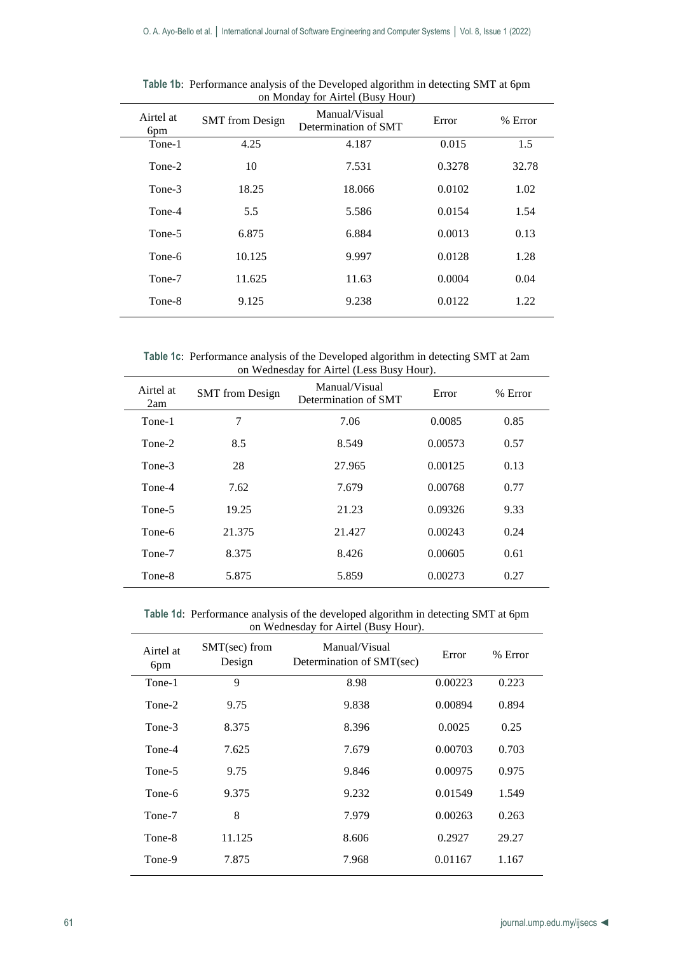| Airtel at<br>6pm | <b>SMT</b> from Design | Manual/Visual<br>Determination of SMT | Error  | % Error |
|------------------|------------------------|---------------------------------------|--------|---------|
| Tone-1           | 4.25                   | 4.187                                 | 0.015  | 1.5     |
| Tone-2           | 10                     | 7.531                                 | 0.3278 | 32.78   |
| Tone-3           | 18.25                  | 18.066                                | 0.0102 | 1.02    |
| Tone-4           | 5.5                    | 5.586                                 | 0.0154 | 1.54    |
| Tone-5           | 6.875                  | 6.884                                 | 0.0013 | 0.13    |
| Tone-6           | 10.125                 | 9.997                                 | 0.0128 | 1.28    |
| Tone-7           | 11.625                 | 11.63                                 | 0.0004 | 0.04    |
| Tone-8           | 9.125                  | 9.238                                 | 0.0122 | 1.22    |
|                  |                        |                                       |        |         |

**Table 1b**: Performance analysis of the Developed algorithm in detecting SMT at 6pm on Monday for Airtel (Busy Hour)

**Table 1c**: Performance analysis of the Developed algorithm in detecting SMT at 2am on Wednesday for Airtel (Less Busy Hour).

| Airtel at<br>2am | <b>SMT</b> from Design | Manual/Visual<br>Determination of SMT | Error   | % Error |
|------------------|------------------------|---------------------------------------|---------|---------|
| Tone-1           | 7                      | 7.06                                  | 0.0085  | 0.85    |
| Tone-2           | 8.5                    | 8.549                                 | 0.00573 | 0.57    |
| Tone-3           | 28                     | 27.965                                | 0.00125 | 0.13    |
| Tone-4           | 7.62                   | 7.679                                 | 0.00768 | 0.77    |
| Tone-5           | 19.25                  | 21.23                                 | 0.09326 | 9.33    |
| Tone-6           | 21.375                 | 21.427                                | 0.00243 | 0.24    |
| Tone-7           | 8.375                  | 8.426                                 | 0.00605 | 0.61    |
| Tone-8           | 5.875                  | 5.859                                 | 0.00273 | 0.27    |

**Table 1d**: Performance analysis of the developed algorithm in detecting SMT at 6pm on Wednesday for Airtel (Busy Hour).

| Airtel at<br>6 <sub>pm</sub> | $SMT(sec)$ from<br>Design | Manual/Visual<br>Determination of SMT(sec) | Error   | % Error |
|------------------------------|---------------------------|--------------------------------------------|---------|---------|
| Tone-1                       | 9                         | 8.98                                       | 0.00223 | 0.223   |
| Tone-2                       | 9.75                      | 9.838                                      | 0.00894 | 0.894   |
| Tone-3                       | 8.375                     | 8.396                                      | 0.0025  | 0.25    |
| Tone-4                       | 7.625                     | 7.679                                      | 0.00703 | 0.703   |
| Tone-5                       | 9.75                      | 9.846                                      | 0.00975 | 0.975   |
| Tone-6                       | 9.375                     | 9.232                                      | 0.01549 | 1.549   |
| Tone-7                       | 8                         | 7.979                                      | 0.00263 | 0.263   |
| Tone-8                       | 11.125                    | 8.606                                      | 0.2927  | 29.27   |
| Tone-9                       | 7.875                     | 7.968                                      | 0.01167 | 1.167   |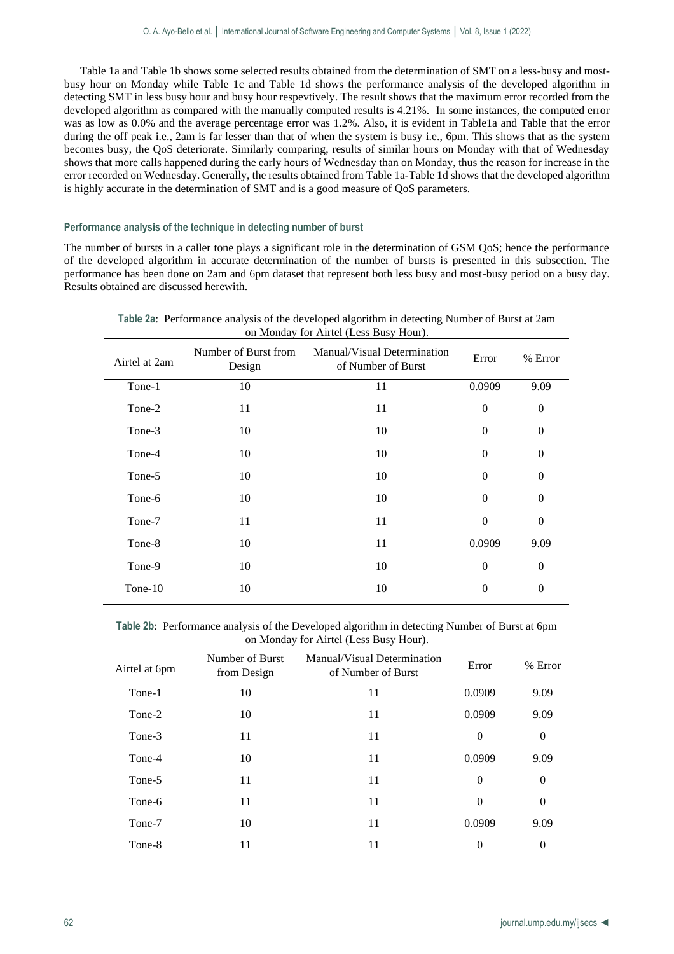Table 1a and Table 1b shows some selected results obtained from the determination of SMT on a less-busy and mostbusy hour on Monday while Table 1c and Table 1d shows the performance analysis of the developed algorithm in detecting SMT in less busy hour and busy hour respevtively. The result shows that the maximum error recorded from the developed algorithm as compared with the manually computed results is 4.21%. In some instances, the computed error was as low as 0.0% and the average percentage error was 1.2%. Also, it is evident in Table1a and Table that the error during the off peak i.e., 2am is far lesser than that of when the system is busy i.e., 6pm. This shows that as the system becomes busy, the QoS deteriorate. Similarly comparing, results of similar hours on Monday with that of Wednesday shows that more calls happened during the early hours of Wednesday than on Monday, thus the reason for increase in the error recorded on Wednesday. Generally, the results obtained from Table 1a-Table 1d shows that the developed algorithm is highly accurate in the determination of SMT and is a good measure of QoS parameters.

# **Performance analysis of the technique in detecting number of burst**

The number of bursts in a caller tone plays a significant role in the determination of GSM QoS; hence the performance of the developed algorithm in accurate determination of the number of bursts is presented in this subsection. The performance has been done on 2am and 6pm dataset that represent both less busy and most-busy period on a busy day. Results obtained are discussed herewith.

|               |                                | on <i>Monday</i> for Afflier (Less Dusy Hour).    |          |                  |
|---------------|--------------------------------|---------------------------------------------------|----------|------------------|
| Airtel at 2am | Number of Burst from<br>Design | Manual/Visual Determination<br>of Number of Burst | Error    | % Error          |
| Tone-1        | 10                             | 11                                                | 0.0909   | 9.09             |
| Tone-2        | 11                             | 11                                                | $\theta$ | $\theta$         |
| Tone-3        | 10                             | 10                                                | $\Omega$ | $\theta$         |
| Tone-4        | 10                             | 10                                                | $\theta$ | $\theta$         |
| Tone-5        | 10                             | 10                                                | $\theta$ | $\theta$         |
| Tone-6        | 10                             | 10                                                | $\theta$ | $\theta$         |
| Tone-7        | 11                             | 11                                                | $\theta$ | $\theta$         |
| Tone-8        | 10                             | 11                                                | 0.0909   | 9.09             |
| Tone-9        | 10                             | 10                                                | $\theta$ | $\theta$         |
| Tone-10       | 10                             | 10                                                | $\theta$ | $\boldsymbol{0}$ |
|               |                                |                                                   |          |                  |

**Table 2a**: Performance analysis of the developed algorithm in detecting Number of Burst at 2am on Monday for Airtel (Less Busy Hour).

**Table 2b**: Performance analysis of the Developed algorithm in detecting Number of Burst at 6pm on Monday for Airtel (Less Busy Hour).

| Number of Burst<br>from Design | Manual/Visual Determination<br>of Number of Burst | Error        | % Error  |
|--------------------------------|---------------------------------------------------|--------------|----------|
| 10                             | 11                                                | 0.0909       | 9.09     |
| 10                             | 11                                                | 0.0909       | 9.09     |
| 11                             | 11                                                | $\mathbf{0}$ | $\theta$ |
| 10                             | 11                                                | 0.0909       | 9.09     |
| 11                             | 11                                                | $\mathbf{0}$ | $\theta$ |
| 11                             | 11                                                | $\Omega$     | $\theta$ |
| 10                             | 11                                                | 0.0909       | 9.09     |
| 11                             | 11                                                | $\theta$     | $\theta$ |
|                                |                                                   |              |          |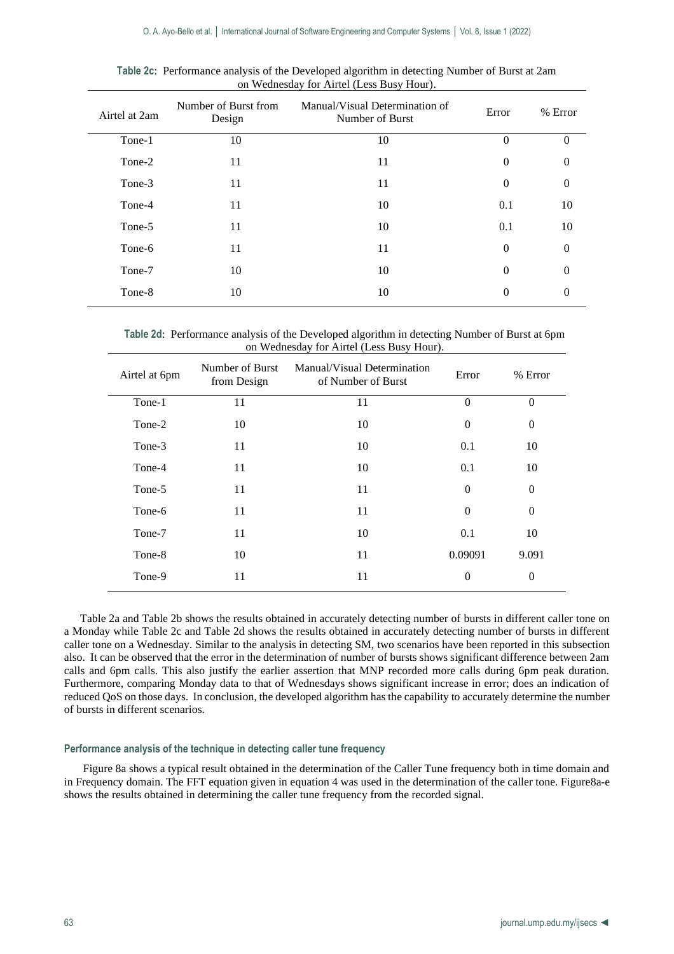| Airtel at 2am | Number of Burst from<br>Design | Manual/Visual Determination of<br>Number of Burst | Error          | % Error  |
|---------------|--------------------------------|---------------------------------------------------|----------------|----------|
| Tone-1        | 10                             | 10                                                | $\Omega$       | $\Omega$ |
| Tone-2        | 11                             | 11                                                | $\overline{0}$ | $\Omega$ |
| Tone-3        | 11                             | 11                                                | $\Omega$       | $\theta$ |
| Tone-4        | 11                             | 10                                                | 0.1            | 10       |
| Tone-5        | 11                             | 10                                                | 0.1            | 10       |
| Tone-6        | 11                             | 11                                                | $\Omega$       | $\Omega$ |
| Tone-7        | 10                             | 10                                                | $\Omega$       | $\Omega$ |
| Tone-8        | 10                             | 10                                                | $\Omega$       | $\Omega$ |
|               |                                |                                                   |                |          |

**Table 2c**: Performance analysis of the Developed algorithm in detecting Number of Burst at 2am on Wednesday for Airtel (Less Busy Hour).

**Table 2d**: Performance analysis of the Developed algorithm in detecting Number of Burst at 6pm on Wednesday for Airtel (Less Busy Hour).

| Airtel at 6pm | Number of Burst<br>from Design | Manual/Visual Determination<br>of Number of Burst | Error          | % Error  |
|---------------|--------------------------------|---------------------------------------------------|----------------|----------|
| Tone-1        | 11                             | 11                                                | $\Omega$       | $\Omega$ |
| Tone-2        | 10                             | 10                                                | $\theta$       | $\Omega$ |
| Tone-3        | 11                             | 10                                                | 0.1            | 10       |
| Tone-4        | 11                             | 10                                                | 0.1            | 10       |
| Tone-5        | 11                             | 11                                                | $\overline{0}$ | $\Omega$ |
| Tone-6        | 11                             | 11                                                | $\theta$       | $\Omega$ |
| Tone-7        | 11                             | 10                                                | 0.1            | 10       |
| Tone-8        | 10                             | 11                                                | 0.09091        | 9.091    |
| Tone-9        | 11                             | 11                                                | $\theta$       | $\Omega$ |

Table 2a and Table 2b shows the results obtained in accurately detecting number of bursts in different caller tone on a Monday while Table 2c and Table 2d shows the results obtained in accurately detecting number of bursts in different caller tone on a Wednesday. Similar to the analysis in detecting SM, two scenarios have been reported in this subsection also. It can be observed that the error in the determination of number of bursts shows significant difference between 2am calls and 6pm calls. This also justify the earlier assertion that MNP recorded more calls during 6pm peak duration. Furthermore, comparing Monday data to that of Wednesdays shows significant increase in error; does an indication of reduced QoS on those days. In conclusion, the developed algorithm has the capability to accurately determine the number of bursts in different scenarios.

# **Performance analysis of the technique in detecting caller tune frequency**

Figure 8a shows a typical result obtained in the determination of the Caller Tune frequency both in time domain and in Frequency domain. The FFT equation given in equation 4 was used in the determination of the caller tone. Figure8a-e shows the results obtained in determining the caller tune frequency from the recorded signal.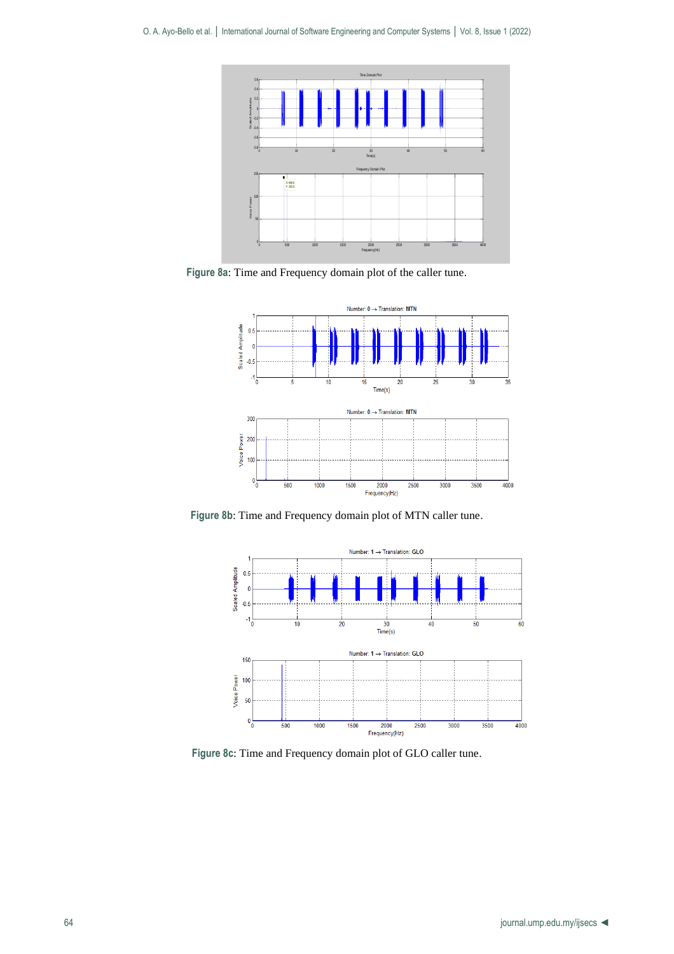

**Figure 8a**: Time and Frequency domain plot of the caller tune.



**Figure 8b**: Time and Frequency domain plot of MTN caller tune.



**Figure 8c**: Time and Frequency domain plot of GLO caller tune.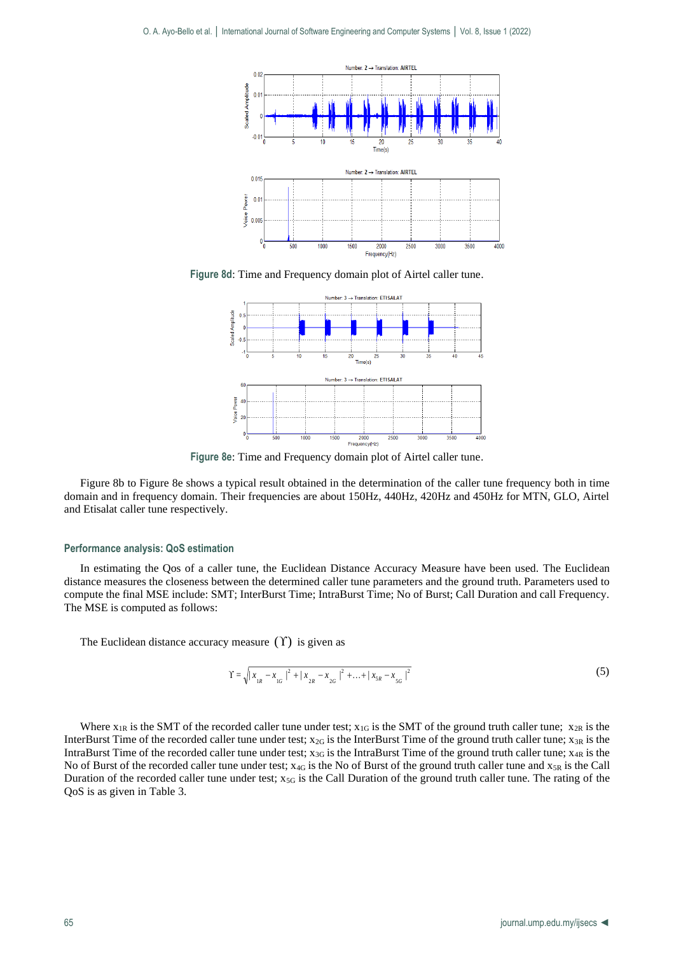

**Figure 8d**: Time and Frequency domain plot of Airtel caller tune.



**Figure 8e**: Time and Frequency domain plot of Airtel caller tune.

Figure 8b to Figure 8e shows a typical result obtained in the determination of the caller tune frequency both in time domain and in frequency domain. Their frequencies are about 150Hz, 440Hz, 420Hz and 450Hz for MTN, GLO, Airtel and Etisalat caller tune respectively.

#### **Performance analysis: QoS estimation**

In estimating the Qos of a caller tune, the Euclidean Distance Accuracy Measure have been used. The Euclidean distance measures the closeness between the determined caller tune parameters and the ground truth. Parameters used to compute the final MSE include: SMT; InterBurst Time; IntraBurst Time; No of Burst; Call Duration and call Frequency. The MSE is computed as follows:

The Euclidean distance accuracy measure  $(\Upsilon)$  is given as

$$
\Upsilon = \sqrt{|x_{1R} - x_{1G}|^2 + |x_{2R} - x_{2G}|^2 + ... + |x_{5R} - x_{5G}|^2}
$$
\n(5)

Where  $x_{1R}$  is the SMT of the recorded caller tune under test;  $x_{1G}$  is the SMT of the ground truth caller tune;  $x_{2R}$  is the InterBurst Time of the recorded caller tune under test;  $x_{2G}$  is the InterBurst Time of the ground truth caller tune;  $x_{3R}$  is the IntraBurst Time of the recorded caller tune under test;  $x_{3G}$  is the IntraBurst Time of the ground truth caller tune;  $x_{4R}$  is the No of Burst of the recorded caller tune under test;  $x_{4G}$  is the No of Burst of the ground truth caller tune and  $x_{5R}$  is the Call Duration of the recorded caller tune under test;  $x_{5G}$  is the Call Duration of the ground truth caller tune. The rating of the QoS is as given in Table 3.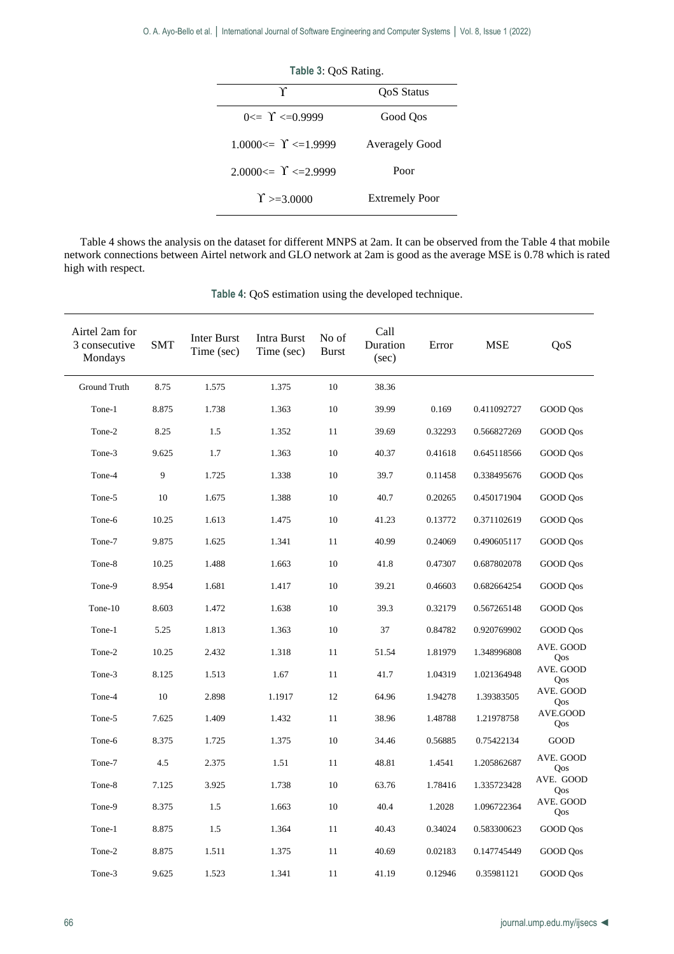| Table 3: QoS Rating.        |                       |  |  |
|-----------------------------|-----------------------|--|--|
| Υ                           | OoS Status            |  |  |
| $0 \le \Upsilon \le 0.9999$ | Good Oos              |  |  |
| $1.0000 \leq Y \leq 1.9999$ | <b>Averagely Good</b> |  |  |
| $2.0000 \leq Y \leq 2.9999$ | Poor                  |  |  |
| $\Upsilon$ >=3.0000         | <b>Extremely Poor</b> |  |  |

Table 4 shows the analysis on the dataset for different MNPS at 2am. It can be observed from the Table 4 that mobile network connections between Airtel network and GLO network at 2am is good as the average MSE is 0.78 which is rated high with respect.

| Airtel 2am for<br>3 consecutive<br>Mondays | <b>SMT</b> | Inter Burst<br>Time (sec) | Intra Burst<br>Time (sec) | No of<br><b>Burst</b> | Call<br>Duration<br>(sec) | Error   | <b>MSE</b>  | QoS              |
|--------------------------------------------|------------|---------------------------|---------------------------|-----------------------|---------------------------|---------|-------------|------------------|
| Ground Truth                               | 8.75       | 1.575                     | 1.375                     | 10                    | 38.36                     |         |             |                  |
| Tone-1                                     | 8.875      | 1.738                     | 1.363                     | 10                    | 39.99                     | 0.169   | 0.411092727 | GOOD Qos         |
| Tone-2                                     | 8.25       | 1.5                       | 1.352                     | 11                    | 39.69                     | 0.32293 | 0.566827269 | GOOD Qos         |
| Tone-3                                     | 9.625      | 1.7                       | 1.363                     | 10                    | 40.37                     | 0.41618 | 0.645118566 | GOOD Qos         |
| Tone-4                                     | 9          | 1.725                     | 1.338                     | 10                    | 39.7                      | 0.11458 | 0.338495676 | GOOD Qos         |
| Tone-5                                     | 10         | 1.675                     | 1.388                     | 10                    | 40.7                      | 0.20265 | 0.450171904 | GOOD Qos         |
| Tone-6                                     | 10.25      | 1.613                     | 1.475                     | 10                    | 41.23                     | 0.13772 | 0.371102619 | GOOD Qos         |
| Tone-7                                     | 9.875      | 1.625                     | 1.341                     | 11                    | 40.99                     | 0.24069 | 0.490605117 | GOOD Qos         |
| Tone-8                                     | 10.25      | 1.488                     | 1.663                     | 10                    | 41.8                      | 0.47307 | 0.687802078 | GOOD Qos         |
| Tone-9                                     | 8.954      | 1.681                     | 1.417                     | 10                    | 39.21                     | 0.46603 | 0.682664254 | GOOD Qos         |
| Tone-10                                    | 8.603      | 1.472                     | 1.638                     | 10                    | 39.3                      | 0.32179 | 0.567265148 | GOOD Oos         |
| Tone-1                                     | 5.25       | 1.813                     | 1.363                     | 10                    | 37                        | 0.84782 | 0.920769902 | GOOD Qos         |
| Tone-2                                     | 10.25      | 2.432                     | 1.318                     | 11                    | 51.54                     | 1.81979 | 1.348996808 | AVE. GOOD<br>Qos |
| Tone-3                                     | 8.125      | 1.513                     | 1.67                      | 11                    | 41.7                      | 1.04319 | 1.021364948 | AVE. GOOD<br>Qos |
| Tone-4                                     | 10         | 2.898                     | 1.1917                    | 12                    | 64.96                     | 1.94278 | 1.39383505  | AVE. GOOD<br>Qos |
| Tone-5                                     | 7.625      | 1.409                     | 1.432                     | 11                    | 38.96                     | 1.48788 | 1.21978758  | AVE.GOOD<br>Qos  |
| Tone-6                                     | 8.375      | 1.725                     | 1.375                     | 10                    | 34.46                     | 0.56885 | 0.75422134  | GOOD             |
| Tone-7                                     | 4.5        | 2.375                     | 1.51                      | 11                    | 48.81                     | 1.4541  | 1.205862687 | AVE. GOOD<br>Qos |
| Tone-8                                     | 7.125      | 3.925                     | 1.738                     | 10                    | 63.76                     | 1.78416 | 1.335723428 | AVE. GOOD<br>Qos |
| Tone-9                                     | 8.375      | 1.5                       | 1.663                     | 10                    | 40.4                      | 1.2028  | 1.096722364 | AVE. GOOD<br>Qos |
| Tone-1                                     | 8.875      | 1.5                       | 1.364                     | 11                    | 40.43                     | 0.34024 | 0.583300623 | GOOD Qos         |
| Tone-2                                     | 8.875      | 1.511                     | 1.375                     | 11                    | 40.69                     | 0.02183 | 0.147745449 | GOOD Qos         |
| Tone-3                                     | 9.625      | 1.523                     | 1.341                     | 11                    | 41.19                     | 0.12946 | 0.35981121  | GOOD Qos         |

**Table 4**: QoS estimation using the developed technique.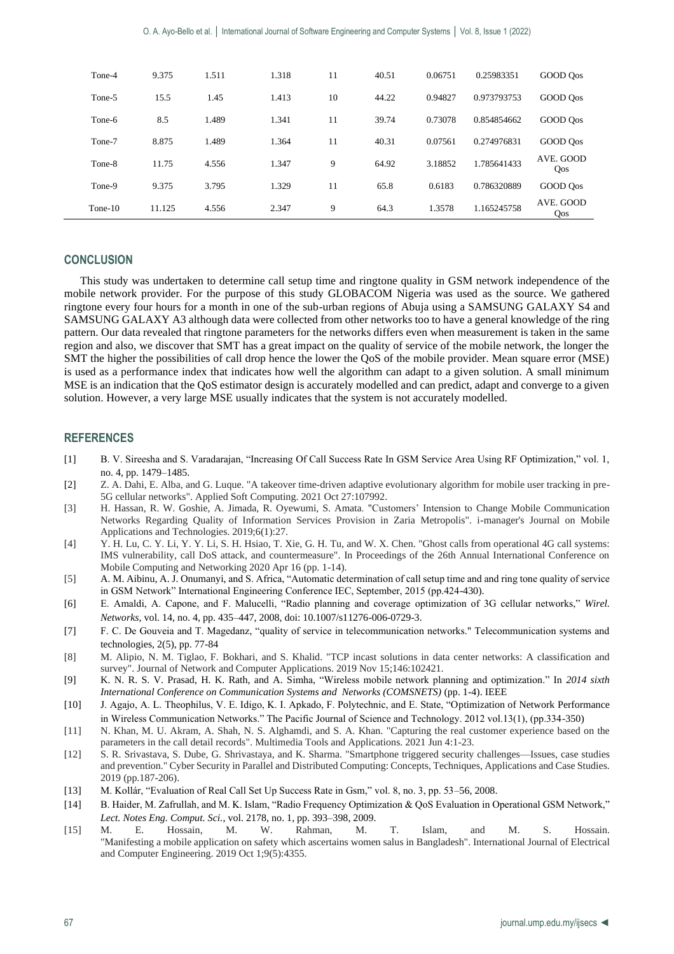| Tone-4  | 9.375  | 1.511 | 1.318 | 11 | 40.51 | 0.06751 | 0.25983351  | GOOD Oos         |
|---------|--------|-------|-------|----|-------|---------|-------------|------------------|
| Tone-5  | 15.5   | 1.45  | 1.413 | 10 | 44.22 | 0.94827 | 0.973793753 | GOOD Oos         |
| Tone-6  | 8.5    | 1.489 | 1.341 | 11 | 39.74 | 0.73078 | 0.854854662 | GOOD Oos         |
| Tone-7  | 8.875  | 1.489 | 1.364 | 11 | 40.31 | 0.07561 | 0.274976831 | GOOD Oos         |
| Tone-8  | 11.75  | 4.556 | 1.347 | 9  | 64.92 | 3.18852 | 1.785641433 | AVE. GOOD<br>Qos |
| Tone-9  | 9.375  | 3.795 | 1.329 | 11 | 65.8  | 0.6183  | 0.786320889 | GOOD Oos         |
| Tone-10 | 11.125 | 4.556 | 2.347 | 9  | 64.3  | 1.3578  | 1.165245758 | AVE. GOOD<br>Qos |

# **CONCLUSION**

This study was undertaken to determine call setup time and ringtone quality in GSM network independence of the mobile network provider. For the purpose of this study GLOBACOM Nigeria was used as the source. We gathered ringtone every four hours for a month in one of the sub-urban regions of Abuja using a SAMSUNG GALAXY S4 and SAMSUNG GALAXY A3 although data were collected from other networks too to have a general knowledge of the ring pattern. Our data revealed that ringtone parameters for the networks differs even when measurement is taken in the same region and also, we discover that SMT has a great impact on the quality of service of the mobile network, the longer the SMT the higher the possibilities of call drop hence the lower the QoS of the mobile provider. Mean square error (MSE) is used as a performance index that indicates how well the algorithm can adapt to a given solution. A small minimum MSE is an indication that the QoS estimator design is accurately modelled and can predict, adapt and converge to a given solution. However, a very large MSE usually indicates that the system is not accurately modelled.

#### **REFERENCES**

- [1] B. V. Sireesha and S. Varadarajan, "Increasing Of Call Success Rate In GSM Service Area Using RF Optimization," vol. 1, no. 4, pp. 1479–1485.
- [2] Z. A. Dahi, E. Alba, and G. Luque. "A takeover time-driven adaptive evolutionary algorithm for mobile user tracking in pre-5G cellular networks". Applied Soft Computing. 2021 Oct 27:107992.
- [3] H. Hassan, R. W. Goshie, A. Jimada, R. Oyewumi, S. Amata. "Customers' Intension to Change Mobile Communication Networks Regarding Quality of Information Services Provision in Zaria Metropolis". i-manager's Journal on Mobile Applications and Technologies. 2019;6(1):27.
- [4] Y. H. Lu, C. Y. Li, Y. Y. Li, S. H. Hsiao, T. Xie, G. H. Tu, and W. X. Chen. "Ghost calls from operational 4G call systems: IMS vulnerability, call DoS attack, and countermeasure". In Proceedings of the 26th Annual International Conference on Mobile Computing and Networking 2020 Apr 16 (pp. 1-14).
- [5] A. M. Aibinu, A. J. Onumanyi, and S. Africa, "Automatic determination of call setup time and and ring tone quality of service in GSM Network" International Engineering Conference IEC, September, 2015 (pp.424-430).
- [6] E. Amaldi, A. Capone, and F. Malucelli, "Radio planning and coverage optimization of 3G cellular networks," *Wirel. Networks*, vol. 14, no. 4, pp. 435–447, 2008, doi: 10.1007/s11276-006-0729-3.
- [7] F. C. De Gouveia and T. Magedanz, "quality of service in telecommunication networks." Telecommunication systems and technologies, 2(5), pp. 77-84
- [8] M. Alipio, N. M. Tiglao, F. Bokhari, and S. Khalid. "TCP incast solutions in data center networks: A classification and survey". Journal of Network and Computer Applications. 2019 Nov 15;146:102421.
- [9] K. N. R. S. V. Prasad, H. K. Rath, and A. Simha, "Wireless mobile network planning and optimization." In *2014 sixth International Conference on Communication Systems and Networks (COMSNETS)* (pp. 1-4). IEEE
- [10] J. Agajo, A. L. Theophilus, V. E. Idigo, K. I. Apkado, F. Polytechnic, and E. State, "Optimization of Network Performance in Wireless Communication Networks." The Pacific Journal of Science and Technology. 2012 vol.13(1), (pp.334-350)
- [11] N. Khan, M. U. Akram, A. Shah, N. S. Alghamdi, and S. A. Khan. "Capturing the real customer experience based on the parameters in the call detail records". Multimedia Tools and Applications. 2021 Jun 4:1-23.
- [12] S. R. Srivastava, S. Dube, G. Shrivastaya, and K. Sharma. "Smartphone triggered security challenges—Issues, case studies and prevention." Cyber Security in Parallel and Distributed Computing: Concepts, Techniques, Applications and Case Studies. 2019 (pp.187-206).
- [13] M. Kollár, "Evaluation of Real Call Set Up Success Rate in Gsm," vol. 8, no. 3, pp. 53–56, 2008.
- [14] B. Haider, M. Zafrullah, and M. K. Islam, "Radio Frequency Optimization & QoS Evaluation in Operational GSM Network," *Lect. Notes Eng. Comput. Sci.*, vol. 2178, no. 1, pp. 393–398, 2009.
- [15] M. E. Hossain, M. W. Rahman, M. T. Islam, and M. S. Hossain. "Manifesting a mobile application on safety which ascertains women salus in Bangladesh". International Journal of Electrical and Computer Engineering. 2019 Oct 1;9(5):4355.